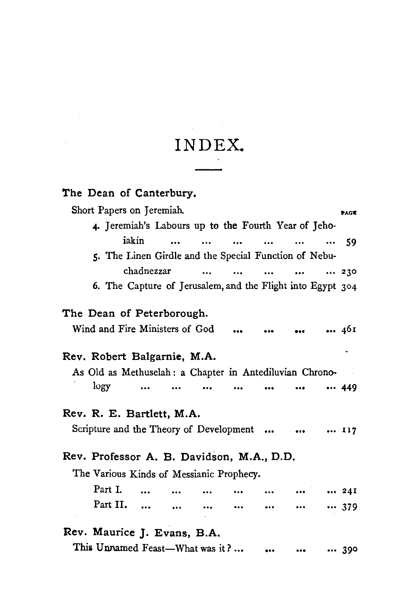## INDEX.

 $\sim$ 

| The Dean of Canterbury.                                                                                                                                                                                                                                                                     |      |  |  |  |  |  |  |  |
|---------------------------------------------------------------------------------------------------------------------------------------------------------------------------------------------------------------------------------------------------------------------------------------------|------|--|--|--|--|--|--|--|
| Short Papers on Jeremiah.                                                                                                                                                                                                                                                                   | PAGE |  |  |  |  |  |  |  |
| 4. Jeremiah's Labours up to the Fourth Year of Jeho-                                                                                                                                                                                                                                        |      |  |  |  |  |  |  |  |
| iakin<br>$\sim$<br>$\sim$ $\sim$<br>$\ddotsc$<br>$\cdots$<br>and the season of the season of the season of the season of the season of the season of the season of the season of the season of the season of the season of the season of the season of the season of the season of the seas | - 59 |  |  |  |  |  |  |  |
| 5. The Linen Girdle and the Special Function of Nebu-                                                                                                                                                                                                                                       |      |  |  |  |  |  |  |  |
| chadnezzar<br>$\sim$ $\sim$ $\sim$<br>230                                                                                                                                                                                                                                                   |      |  |  |  |  |  |  |  |
| 6. The Capture of Jerusalem, and the Flight into Egypt 304                                                                                                                                                                                                                                  |      |  |  |  |  |  |  |  |
| The Dean of Peterborough.                                                                                                                                                                                                                                                                   |      |  |  |  |  |  |  |  |
| Wind and Fire Ministers of God<br>46I                                                                                                                                                                                                                                                       |      |  |  |  |  |  |  |  |
| $\bullet$<br>$\bullet\bullet\bullet$                                                                                                                                                                                                                                                        |      |  |  |  |  |  |  |  |
| Rev. Robert Balgarnie, M.A.                                                                                                                                                                                                                                                                 |      |  |  |  |  |  |  |  |
| As Old as Methuselah : a Chapter in Antediluvian Chrono-                                                                                                                                                                                                                                    |      |  |  |  |  |  |  |  |
| logy                                                                                                                                                                                                                                                                                        | 449  |  |  |  |  |  |  |  |
| Rev. R. E. Bartlett, M.A.                                                                                                                                                                                                                                                                   |      |  |  |  |  |  |  |  |
| Scripture and the Theory of Development    117                                                                                                                                                                                                                                              |      |  |  |  |  |  |  |  |
| Rev. Professor A. B. Davidson, M.A., D.D.                                                                                                                                                                                                                                                   |      |  |  |  |  |  |  |  |
| The Various Kinds of Messianic Prophecy.                                                                                                                                                                                                                                                    |      |  |  |  |  |  |  |  |
| Part I.<br>$\cdots$<br>$\cdots$                                                                                                                                                                                                                                                             | 24I  |  |  |  |  |  |  |  |
| Part II.<br>$\ddotsc$<br>$\cdots$                                                                                                                                                                                                                                                           | 379  |  |  |  |  |  |  |  |
| Rev. Maurice J. Evans, B.A.                                                                                                                                                                                                                                                                 |      |  |  |  |  |  |  |  |
| This Unnamed Feast-What was it?                                                                                                                                                                                                                                                             | 390  |  |  |  |  |  |  |  |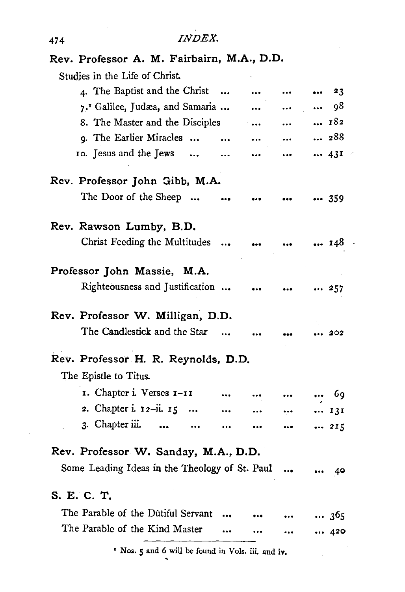| Rev. Professor A. M. Fairbairn, M.A., D.D.         |           |           |           |     |  |  |  |
|----------------------------------------------------|-----------|-----------|-----------|-----|--|--|--|
| Studies in the Life of Christ.                     |           |           |           |     |  |  |  |
| 4. The Baptist and the Christ                      |           |           |           | 23  |  |  |  |
| 7. <sup>1</sup> Galilee, Judæa, and Samaria        |           |           |           | 98  |  |  |  |
| 8. The Master and the Disciples                    |           |           | $\ddotsc$ | 182 |  |  |  |
| 9. The Earlier Miracles                            |           | $\ddotsc$ |           | 288 |  |  |  |
| 10. Jesus and the Jews                             | $\ddotsc$ | $\cdots$  |           | 43I |  |  |  |
| Rev. Professor John Gibb, M.A.                     |           |           |           |     |  |  |  |
| The Door of the Sheep                              |           |           |           | 359 |  |  |  |
| Rev. Rawson Lumby, B.D.                            |           |           |           |     |  |  |  |
| Christ Feeding the Multitudes                      |           |           |           | 148 |  |  |  |
| Professor John Massie, M.A.                        |           |           |           |     |  |  |  |
| Righteousness and Justification                    |           |           |           | 257 |  |  |  |
| Rev. Professor W. Milligan, D.D.                   |           |           |           |     |  |  |  |
| The Candlestick and the Star                       |           |           |           | 202 |  |  |  |
| Rev. Professor H. R. Reynolds, D.D.                |           |           |           |     |  |  |  |
| The Epistle to Titus.                              |           |           |           |     |  |  |  |
| 1. Chapter i. Verses 1-11                          |           |           |           | 69  |  |  |  |
| 2. Chapter i. $12 - ii$ . $15$                     |           |           |           | 131 |  |  |  |
| 3. Chapter iii.<br>                                |           |           | $\cdots$  | 215 |  |  |  |
| Rev. Professor W. Sanday, M.A., D.D.               |           |           |           |     |  |  |  |
| Some Leading Ideas in the Theology of St. Paul     |           |           |           | 40  |  |  |  |
| S. E. C. T.                                        |           |           |           |     |  |  |  |
| The Parable of the Dutiful Servant                 |           |           |           | 365 |  |  |  |
| The Parable of the Kind Master                     |           |           |           | 420 |  |  |  |
| " Nos. 5 and 6 will be found in Vols. iii. and iv. |           |           |           |     |  |  |  |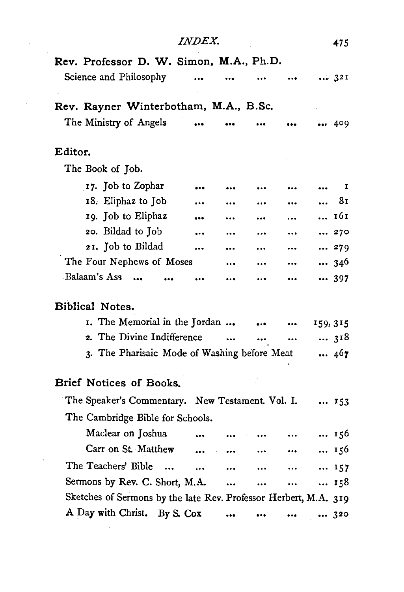|                                                                  | <i>INDEX.</i>        |                      |           |                                                                                  | 475            |
|------------------------------------------------------------------|----------------------|----------------------|-----------|----------------------------------------------------------------------------------|----------------|
| Rev. Professor D. W. Simon, M.A., Ph.D.                          |                      |                      |           |                                                                                  |                |
| Science and Philosophy                                           | $\ddotsc$            |                      |           |                                                                                  | 321            |
|                                                                  |                      |                      |           |                                                                                  |                |
| Rev. Rayner Winterbotham, M.A., B.Sc.                            |                      |                      |           |                                                                                  |                |
| The Ministry of Angels                                           | $\ddot{\phantom{a}}$ | $\ddotsc$            | $\ddotsc$ | $\cdots$                                                                         | 409            |
| Editor.                                                          |                      |                      |           |                                                                                  |                |
| The Book of Job.                                                 |                      |                      |           |                                                                                  |                |
| 17. Job to Zophar                                                |                      |                      | $\cdots$  |                                                                                  | I              |
| 18. Eliphaz to Job                                               |                      |                      |           |                                                                                  | 81<br>$\cdots$ |
| 19. Job to Eliphaz                                               |                      |                      |           | $\cdots$                                                                         | 161            |
| 20. Bildad to Job                                                | $\ddotsc$            | $\cdots$             | $\cdots$  | $\cdots$                                                                         | 270            |
| 21. Job to Bildad                                                | $\cdots$             |                      | $\cdots$  | $\cdots$                                                                         | 279            |
| The Four Nephews of Moses                                        |                      |                      | $\cdots$  | $\cdots$                                                                         | 346            |
| Balaam's Ass                                                     |                      |                      | $\cdots$  | $\cdots$                                                                         | 397            |
|                                                                  |                      |                      |           |                                                                                  |                |
| Biblical Notes.                                                  |                      |                      |           |                                                                                  |                |
| I. The Memorial in the Jordan                                    |                      |                      | $\ddotsc$ | $\cdots$                                                                         | 159, 315       |
| 2. The Divine Indifference                                       |                      |                      | $\ddotsc$ | $\ddotsc$                                                                        | 318            |
| 3. The Pharisaic Mode of Washing before Meat                     |                      |                      |           |                                                                                  | 467            |
|                                                                  |                      |                      |           |                                                                                  |                |
| Brief Notices of Books.                                          |                      |                      |           |                                                                                  |                |
| The Speaker's Commentary. New Testament. Vol. I.                 |                      |                      |           |                                                                                  | 153            |
| The Cambridge Bible for Schools.                                 |                      |                      |           |                                                                                  |                |
| Maclear on Joshua                                                | $\ddotsc$            | $\bullet$            | $\cdots$  | $\cdots$                                                                         | 156            |
| Carr on St. Matthew                                              | $\cdots$             | $\cdots$             | $\cdots$  | $\cdots$                                                                         | 156            |
| The Teachers' Bible<br>$\sim$                                    | $\cdots$             | $\ddot{\phantom{a}}$ | $\cdots$  | $\ddotsc$                                                                        | 157            |
| Sermons by Rev. C. Short, M.A.                                   |                      |                      | $\cdots$  | $\begin{array}{ccc} \bullet & \bullet & \bullet & \bullet & \bullet \end{array}$ | 158            |
| Sketches of Sermons by the late Rev. Professor Herbert, M.A. 319 |                      |                      |           |                                                                                  |                |
| A Day with Christ. By S. Cox                                     |                      |                      |           |                                                                                  | 320            |
|                                                                  |                      |                      |           |                                                                                  |                |